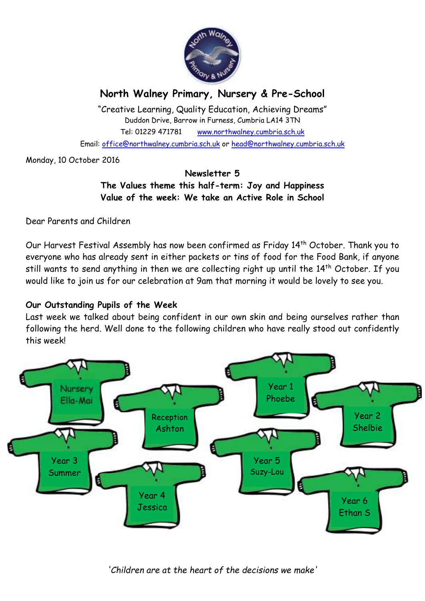

# **North Walney Primary, Nursery & Pre-School**

"Creative Learning, Quality Education, Achieving Dreams" Duddon Drive, Barrow in Furness, Cumbria LA14 3TN Tel: 01229 471781 www.northwalney.cumbria.sch.uk Email: office@northwalney.cumbria.sch.uk or head@northwalney.cumbria.sch.uk

Monday, 10 October 2016

#### **Newsletter 5 The Values theme this half-term: Joy and Happiness Value of the week: We take an Active Role in School**

Dear Parents and Children

Our Harvest Festival Assembly has now been confirmed as Friday 14th October. Thank you to everyone who has already sent in either packets or tins of food for the Food Bank, if anyone still wants to send anything in then we are collecting right up until the 14<sup>th</sup> October. If you would like to join us for our celebration at 9am that morning it would be lovely to see you.

## **Our Outstanding Pupils of the Week**

Last week we talked about being confident in our own skin and being ourselves rather than following the herd. Well done to the following children who have really stood out confidently this week!



*'Children are at the heart of the decisions we make'*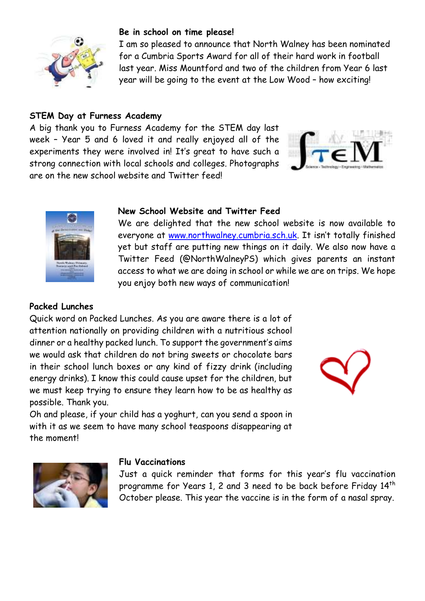

### **Be in school on time please!**

I am so pleased to announce that North Walney has been nominated for a Cumbria Sports Award for all of their hard work in football last year. Miss Mountford and two of the children from Year 6 last year will be going to the event at the Low Wood – how exciting!

### **STEM Day at Furness Academy**

A big thank you to Furness Academy for the STEM day last week – Year 5 and 6 loved it and really enjoyed all of the experiments they were involved in! It's great to have such a strong connection with local schools and colleges. Photographs are on the new school website and Twitter feed!





#### **New School Website and Twitter Feed**

We are delighted that the new school website is now available to everyone at www.northwalney.cumbria.sch.uk. It isn't totally finished yet but staff are putting new things on it daily. We also now have a Twitter Feed (@NorthWalneyPS) which gives parents an instant access to what we are doing in school or while we are on trips. We hope you enjoy both new ways of communication!

## **Packed Lunches**

Quick word on Packed Lunches. As you are aware there is a lot of attention nationally on providing children with a nutritious school dinner or a healthy packed lunch. To support the government's aims we would ask that children do not bring sweets or chocolate bars in their school lunch boxes or any kind of fizzy drink (including energy drinks). I know this could cause upset for the children, but we must keep trying to ensure they learn how to be as healthy as possible. Thank you.

Oh and please, if your child has a yoghurt, can you send a spoon in with it as we seem to have many school teaspoons disappearing at the moment!





#### **Flu Vaccinations**

Just a quick reminder that forms for this year's flu vaccination programme for Years 1, 2 and 3 need to be back before Friday 14th October please. This year the vaccine is in the form of a nasal spray.